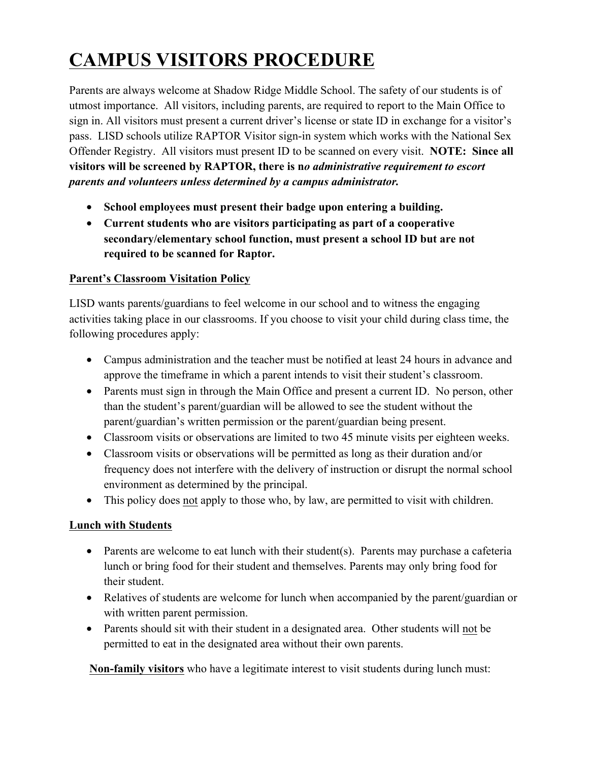# **CAMPUS VISITORS PROCEDURE**

Parents are always welcome at Shadow Ridge Middle School. The safety of our students is of utmost importance. All visitors, including parents, are required to report to the Main Office to sign in. All visitors must present a current driver's license or state ID in exchange for a visitor's pass. LISD schools utilize RAPTOR Visitor sign-in system which works with the National Sex Offender Registry. All visitors must present ID to be scanned on every visit. **NOTE: Since all visitors will be screened by RAPTOR, there is n***o administrative requirement to escort parents and volunteers unless determined by a campus administrator.*

- **School employees must present their badge upon entering a building.**
- **Current students who are visitors participating as part of a cooperative secondary/elementary school function, must present a school ID but are not required to be scanned for Raptor.**

# **Parent's Classroom Visitation Policy**

LISD wants parents/guardians to feel welcome in our school and to witness the engaging activities taking place in our classrooms. If you choose to visit your child during class time, the following procedures apply:

- Campus administration and the teacher must be notified at least 24 hours in advance and approve the timeframe in which a parent intends to visit their student's classroom.
- Parents must sign in through the Main Office and present a current ID. No person, other than the student's parent/guardian will be allowed to see the student without the parent/guardian's written permission or the parent/guardian being present.
- Classroom visits or observations are limited to two 45 minute visits per eighteen weeks.
- Classroom visits or observations will be permitted as long as their duration and/or frequency does not interfere with the delivery of instruction or disrupt the normal school environment as determined by the principal.
- This policy does not apply to those who, by law, are permitted to visit with children.

# **Lunch with Students**

- Parents are welcome to eat lunch with their student(s). Parents may purchase a cafeteria lunch or bring food for their student and themselves. Parents may only bring food for their student.
- Relatives of students are welcome for lunch when accompanied by the parent/guardian or with written parent permission.
- Parents should sit with their student in a designated area. Other students will not be permitted to eat in the designated area without their own parents.

**Non-family visitors** who have a legitimate interest to visit students during lunch must: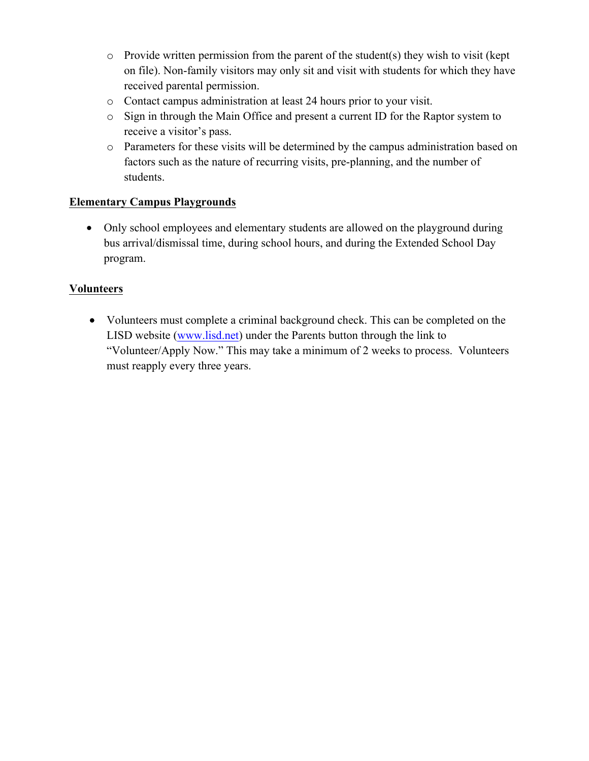- o Provide written permission from the parent of the student(s) they wish to visit (kept on file). Non-family visitors may only sit and visit with students for which they have received parental permission.
- o Contact campus administration at least 24 hours prior to your visit.
- o Sign in through the Main Office and present a current ID for the Raptor system to receive a visitor's pass.
- o Parameters for these visits will be determined by the campus administration based on factors such as the nature of recurring visits, pre-planning, and the number of students.

# **Elementary Campus Playgrounds**

• Only school employees and elementary students are allowed on the playground during bus arrival/dismissal time, during school hours, and during the Extended School Day program.

# **Volunteers**

• Volunteers must complete a criminal background check. This can be completed on the LISD website (www.lisd.net) under the Parents button through the link to "Volunteer/Apply Now." This may take a minimum of 2 weeks to process. Volunteers must reapply every three years.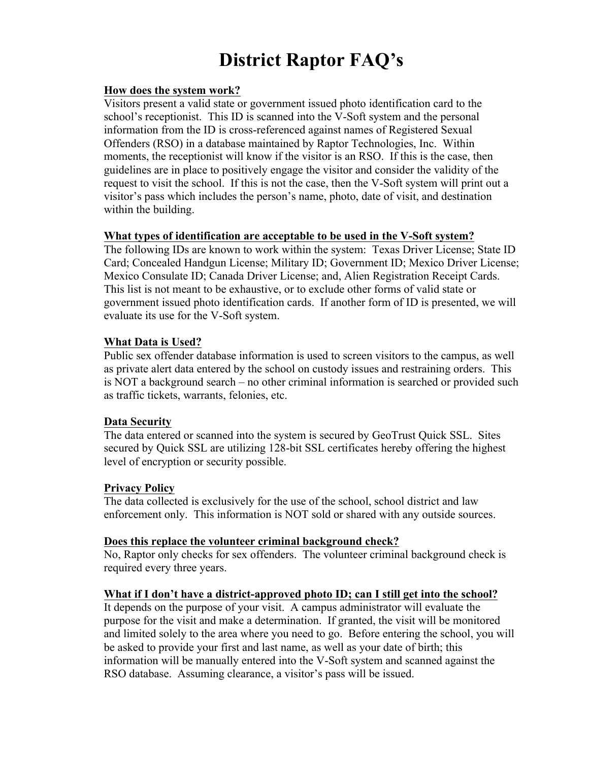# **District Raptor FAQ's**

#### **How does the system work?**

Visitors present a valid state or government issued photo identification card to the school's receptionist. This ID is scanned into the V-Soft system and the personal information from the ID is cross-referenced against names of Registered Sexual Offenders (RSO) in a database maintained by Raptor Technologies, Inc. Within moments, the receptionist will know if the visitor is an RSO. If this is the case, then guidelines are in place to positively engage the visitor and consider the validity of the request to visit the school. If this is not the case, then the V-Soft system will print out a visitor's pass which includes the person's name, photo, date of visit, and destination within the building.

#### **What types of identification are acceptable to be used in the V-Soft system?**

The following IDs are known to work within the system: Texas Driver License; State ID Card; Concealed Handgun License; Military ID; Government ID; Mexico Driver License; Mexico Consulate ID; Canada Driver License; and, Alien Registration Receipt Cards. This list is not meant to be exhaustive, or to exclude other forms of valid state or government issued photo identification cards. If another form of ID is presented, we will evaluate its use for the V-Soft system.

#### **What Data is Used?**

Public sex offender database information is used to screen visitors to the campus, as well as private alert data entered by the school on custody issues and restraining orders. This is NOT a background search – no other criminal information is searched or provided such as traffic tickets, warrants, felonies, etc.

#### **Data Security**

The data entered or scanned into the system is secured by GeoTrust Quick SSL. Sites secured by Quick SSL are utilizing 128-bit SSL certificates hereby offering the highest level of encryption or security possible.

#### **Privacy Policy**

The data collected is exclusively for the use of the school, school district and law enforcement only. This information is NOT sold or shared with any outside sources.

#### **Does this replace the volunteer criminal background check?**

No, Raptor only checks for sex offenders. The volunteer criminal background check is required every three years.

#### **What if I don't have a district-approved photo ID; can I still get into the school?**

It depends on the purpose of your visit. A campus administrator will evaluate the purpose for the visit and make a determination. If granted, the visit will be monitored and limited solely to the area where you need to go. Before entering the school, you will be asked to provide your first and last name, as well as your date of birth; this information will be manually entered into the V-Soft system and scanned against the RSO database. Assuming clearance, a visitor's pass will be issued.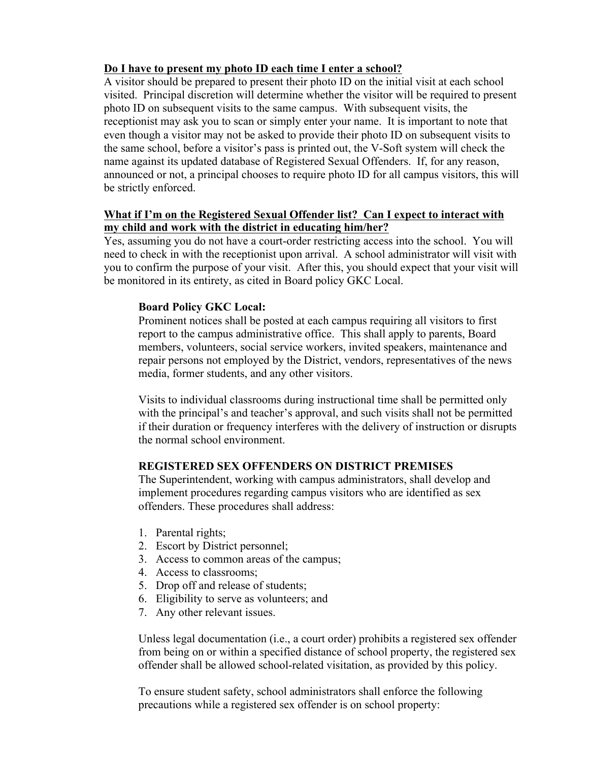# **Do I have to present my photo ID each time I enter a school?**

A visitor should be prepared to present their photo ID on the initial visit at each school visited. Principal discretion will determine whether the visitor will be required to present photo ID on subsequent visits to the same campus. With subsequent visits, the receptionist may ask you to scan or simply enter your name. It is important to note that even though a visitor may not be asked to provide their photo ID on subsequent visits to the same school, before a visitor's pass is printed out, the V-Soft system will check the name against its updated database of Registered Sexual Offenders. If, for any reason, announced or not, a principal chooses to require photo ID for all campus visitors, this will be strictly enforced.

## **What if I'm on the Registered Sexual Offender list? Can I expect to interact with my child and work with the district in educating him/her?**

Yes, assuming you do not have a court-order restricting access into the school. You will need to check in with the receptionist upon arrival. A school administrator will visit with you to confirm the purpose of your visit. After this, you should expect that your visit will be monitored in its entirety, as cited in Board policy GKC Local.

### **Board Policy GKC Local:**

Prominent notices shall be posted at each campus requiring all visitors to first report to the campus administrative office. This shall apply to parents, Board members, volunteers, social service workers, invited speakers, maintenance and repair persons not employed by the District, vendors, representatives of the news media, former students, and any other visitors.

Visits to individual classrooms during instructional time shall be permitted only with the principal's and teacher's approval, and such visits shall not be permitted if their duration or frequency interferes with the delivery of instruction or disrupts the normal school environment.

# **REGISTERED SEX OFFENDERS ON DISTRICT PREMISES**

The Superintendent, working with campus administrators, shall develop and implement procedures regarding campus visitors who are identified as sex offenders. These procedures shall address:

- 1. Parental rights;
- 2. Escort by District personnel;
- 3. Access to common areas of the campus;
- 4. Access to classrooms;
- 5. Drop off and release of students;
- 6. Eligibility to serve as volunteers; and
- 7. Any other relevant issues.

Unless legal documentation (i.e., a court order) prohibits a registered sex offender from being on or within a specified distance of school property, the registered sex offender shall be allowed school-related visitation, as provided by this policy.

To ensure student safety, school administrators shall enforce the following precautions while a registered sex offender is on school property: